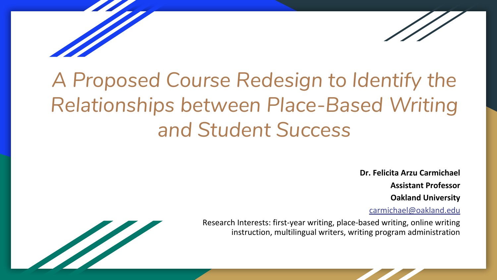# *A Proposed Course Redesign to Identify the Relationships between Place-Based Writing and Student Success*

**Dr. Felicita Arzu Carmichael**

**Assistant Professor**

**Oakland University**

[carmichael@oakland.edu](mailto:carmichael@oakland.edu)



Research Interests: first-year writing, place-based writing, online writing instruction, multilingual writers, writing program administration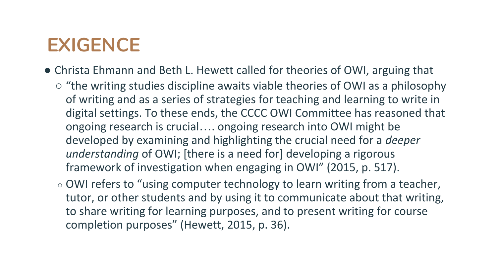## **EXIGENCE**

- Christa Ehmann and Beth L. Hewett called for theories of OWI, arguing that
	- "the writing studies discipline awaits viable theories of OWI as a philosophy of writing and as a series of strategies for teaching and learning to write in digital settings. To these ends, the CCCC OWI Committee has reasoned that ongoing research is crucial…. ongoing research into OWI might be developed by examining and highlighting the crucial need for a *deeper understanding* of OWI; [there is a need for] developing a rigorous framework of investigation when engaging in OWI" (2015, p. 517).
	- OWI refers to "using computer technology to learn writing from a teacher, tutor, or other students and by using it to communicate about that writing, to share writing for learning purposes, and to present writing for course completion purposes" (Hewett, 2015, p. 36).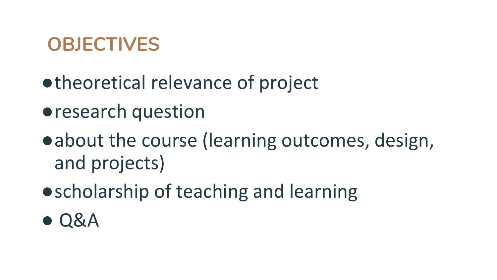## **OBJECTIVES**

- ●theoretical relevance of project
- ●research question
- ●about the course (learning outcomes, design, and projects)
- scholarship of teaching and learning
- $\bullet$  Q&A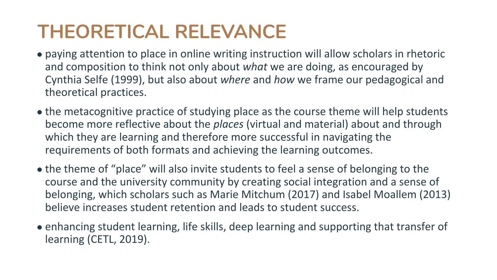## **THEORETICAL RELEVANCE**

- paying attention to place in online writing instruction will allow scholars in rhetoric and composition to think not only about *what* we are doing, as encouraged by Cynthia Selfe (1999), but also about *where* and *how* we frame our pedagogical and theoretical practices.
- the metacognitive practice of studying place as the course theme will help students become more reflective about the *places* (virtual and material) about and through which they are learning and therefore more successful in navigating the requirements of both formats and achieving the learning outcomes.
- the theme of "place" will also invite students to feel a sense of belonging to the course and the university community by creating social integration and a sense of belonging, which scholars such as Marie Mitchum (2017) and Isabel Moallem (2013) believe increases student retention and leads to student success.
- enhancing student learning, life skills, deep learning and supporting that transfer of learning (CETL, 2019).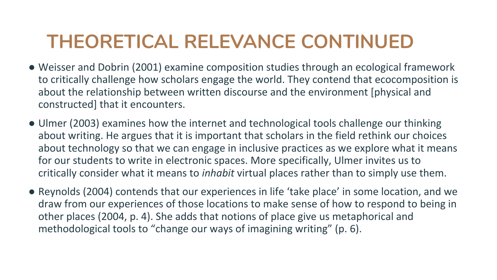## **THEORETICAL RELEVANCE CONTINUED**

- Weisser and Dobrin (2001) examine composition studies through an ecological framework to critically challenge how scholars engage the world. They contend that ecocomposition is about the relationship between written discourse and the environment [physical and constructed] that it encounters.
- Ulmer (2003) examines how the internet and technological tools challenge our thinking about writing. He argues that it is important that scholars in the field rethink our choices about technology so that we can engage in inclusive practices as we explore what it means for our students to write in electronic spaces. More specifically, Ulmer invites us to critically consider what it means to *inhabit* virtual places rather than to simply use them.
- Reynolds (2004) contends that our experiences in life 'take place' in some location, and we draw from our experiences of those locations to make sense of how to respond to being in other places (2004, p. 4). She adds that notions of place give us metaphorical and methodological tools to "change our ways of imagining writing" (p. 6).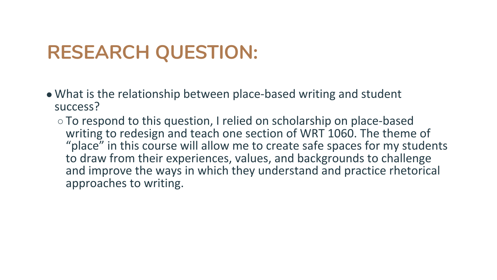## **RESEARCH QUESTION:**

- What is the relationship between place-based writing and student success?
	- To respond to this question, I relied on scholarship on place-based writing to redesign and teach one section of WRT 1060. The theme of "place" in this course will allow me to create safe spaces for my students to draw from their experiences, values, and backgrounds to challenge and improve the ways in which they understand and practice rhetorical approaches to writing.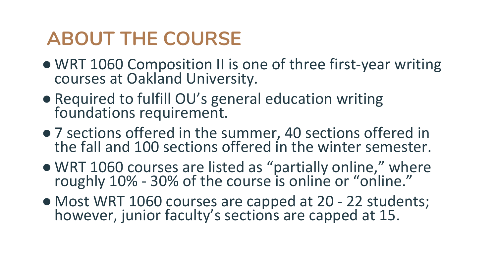## **ABOUT THE COURSE**

- WRT 1060 Composition II is one of three first-year writing courses at Oakland University.
- Required to fulfill OU's general education writing foundations requirement.
- 7 sections offered in the summer, 40 sections offered in the fall and 100 sections offered in the winter semester.
- WRT 1060 courses are listed as "partially online," where roughly 10% - 30% of the course is online or "online."
- Most WRT 1060 courses are capped at 20 22 students; however, junior faculty's sections are capped at 15.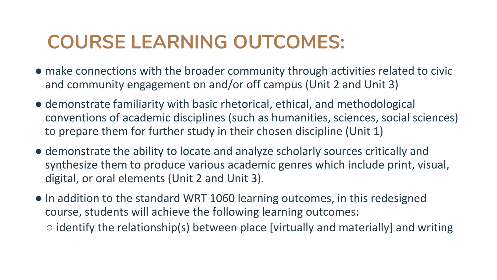## **COURSE LEARNING OUTCOMES:**

- make connections with the broader community through activities related to civic and community engagement on and/or off campus (Unit 2 and Unit 3)
- demonstrate familiarity with basic rhetorical, ethical, and methodological conventions of academic disciplines (such as humanities, sciences, social sciences) to prepare them for further study in their chosen discipline (Unit 1)
- demonstrate the ability to locate and analyze scholarly sources critically and synthesize them to produce various academic genres which include print, visual, digital, or oral elements (Unit 2 and Unit 3).
- In addition to the standard WRT 1060 learning outcomes, in this redesigned course, students will achieve the following learning outcomes:  $\circ$  identify the relationship(s) between place [virtually and materially] and writing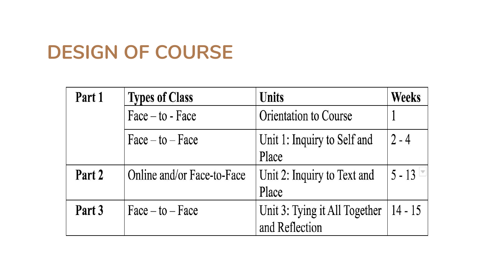#### **DESIGN OF COURSE**

| Part 1 | <b>Types of Class</b>      | <b>Units</b>                  | <b>Weeks</b> |
|--------|----------------------------|-------------------------------|--------------|
|        | $Face - to - Face$         | Orientation to Course         |              |
|        | $Face - to - Face$         | Unit 1: Inquiry to Self and   | $2 - 4$      |
|        |                            | Place                         |              |
| Part 2 | Online and/or Face-to-Face | Unit 2: Inquiry to Text and   | $5 - 13$     |
|        |                            | Place                         |              |
| Part 3 | $Face - to - Face$         | Unit 3: Tying it All Together | $14 - 15$    |
|        |                            | and Reflection                |              |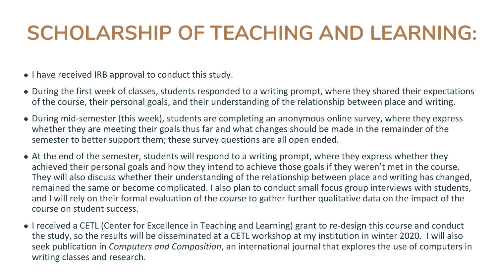# **SCHOLARSHIP OF TEACHING AND LEARNING:**

- I have received IRB approval to conduct this study.
- During the first week of classes, students responded to a writing prompt, where they shared their expectations of the course, their personal goals, and their understanding of the relationship between place and writing.
- During mid-semester (this week), students are completing an anonymous online survey, where they express whether they are meeting their goals thus far and what changes should be made in the remainder of the semester to better support them; these survey questions are all open ended.
- At the end of the semester, students will respond to a writing prompt, where they express whether they achieved their personal goals and how they intend to achieve those goals if they weren't met in the course. They will also discuss whether their understanding of the relationship between place and writing has changed, remained the same or become complicated. I also plan to conduct small focus group interviews with students, and I will rely on their formal evaluation of the course to gather further qualitative data on the impact of the course on student success.
- I received a CETL (Center for Excellence in Teaching and Learning) grant to re-design this course and conduct the study, so the results will be disseminated at a CETL workshop at my institution in winter 2020. I will also seek publication in *Computers and Composition*, an international journal that explores the use of computers in writing classes and research.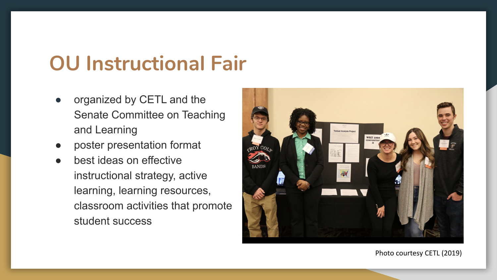## **OU Instructional Fair**

- organized by CETL and the Senate Committee on Teaching and Learning
- poster presentation format
- best ideas on effective instructional strategy, active learning, learning resources, classroom activities that promote student success



Photo courtesy CETL (2019)